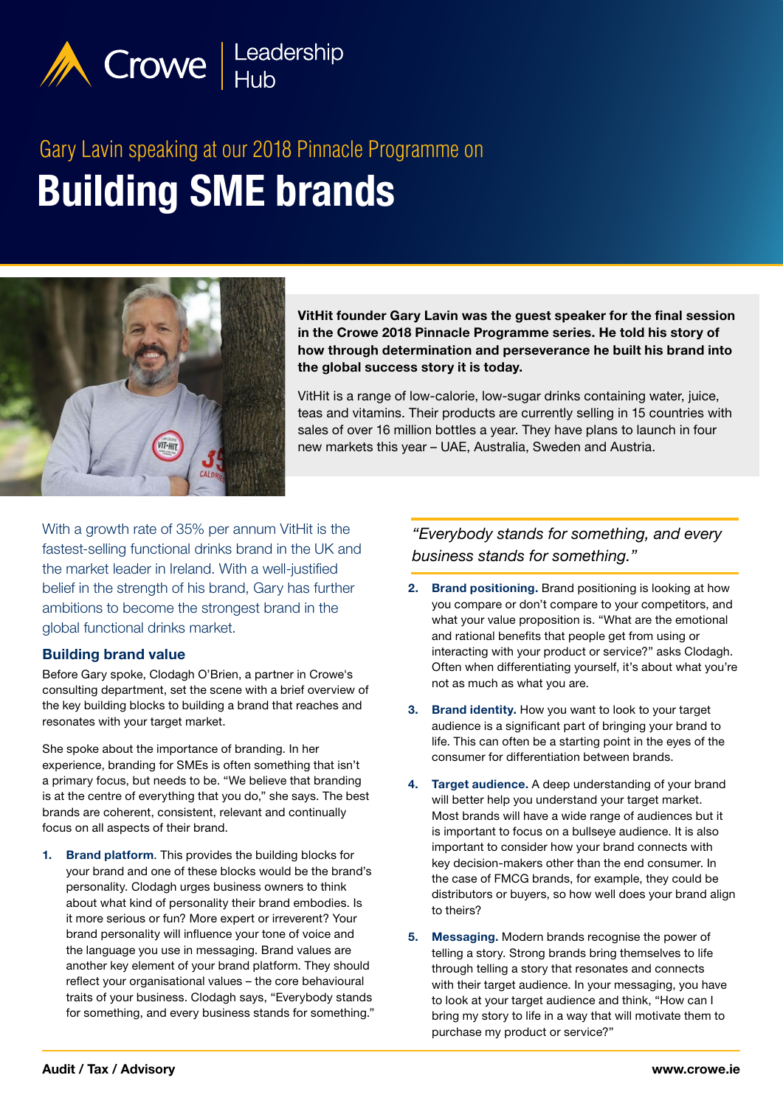

# **Building SME brands** Gary Lavin speaking at our 2018 Pinnacle Programme on



VitHit founder Gary Lavin was the guest speaker for the final session in the Crowe 2018 Pinnacle Programme series. He told his story of how through determination and perseverance he built his brand into the global success story it is today.

VitHit is a range of low-calorie, low-sugar drinks containing water, juice, teas and vitamins. Their products are currently selling in 15 countries with sales of over 16 million bottles a year. They have plans to launch in four new markets this year – UAE, Australia, Sweden and Austria.

With a growth rate of 35% per annum VitHit is the fastest-selling functional drinks brand in the UK and the market leader in Ireland. With a well-justified belief in the strength of his brand, Gary has further ambitions to become the strongest brand in the global functional drinks market.

## Building brand value

Before Gary spoke, Clodagh O'Brien, a partner in Crowe's consulting department, set the scene with a brief overview of the key building blocks to building a brand that reaches and resonates with your target market.

She spoke about the importance of branding. In her experience, branding for SMEs is often something that isn't a primary focus, but needs to be. "We believe that branding is at the centre of everything that you do," she says. The best brands are coherent, consistent, relevant and continually focus on all aspects of their brand.

1. Brand platform. This provides the building blocks for your brand and one of these blocks would be the brand's personality. Clodagh urges business owners to think about what kind of personality their brand embodies. Is it more serious or fun? More expert or irreverent? Your brand personality will influence your tone of voice and the language you use in messaging. Brand values are another key element of your brand platform. They should reflect your organisational values – the core behavioural traits of your business. Clodagh says, "Everybody stands for something, and every business stands for something."

*"Everybody stands for something, and every business stands for something."*

- 2. Brand positioning. Brand positioning is looking at how you compare or don't compare to your competitors, and what your value proposition is. "What are the emotional and rational benefits that people get from using or interacting with your product or service?" asks Clodagh. Often when differentiating yourself, it's about what you're not as much as what you are.
- 3. Brand identity. How you want to look to your target audience is a significant part of bringing your brand to life. This can often be a starting point in the eyes of the consumer for differentiation between brands.
- 4. Target audience. A deep understanding of your brand will better help you understand your target market. Most brands will have a wide range of audiences but it is important to focus on a bullseye audience. It is also important to consider how your brand connects with key decision-makers other than the end consumer. In the case of FMCG brands, for example, they could be distributors or buyers, so how well does your brand align to theirs?
- 5. Messaging. Modern brands recognise the power of telling a story. Strong brands bring themselves to life through telling a story that resonates and connects with their target audience. In your messaging, you have to look at your target audience and think, "How can I bring my story to life in a way that will motivate them to purchase my product or service?"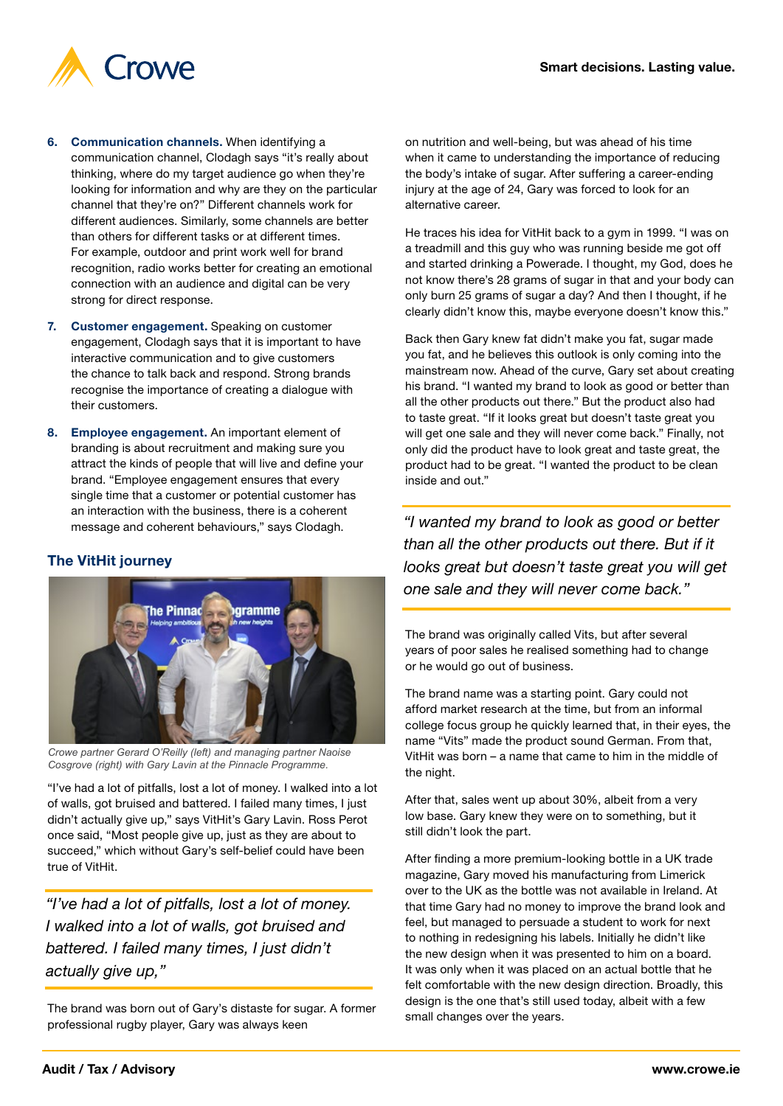

- 6. Communication channels. When identifying a communication channel, Clodagh says "it's really about thinking, where do my target audience go when they're looking for information and why are they on the particular channel that they're on?" Different channels work for different audiences. Similarly, some channels are better than others for different tasks or at different times. For example, outdoor and print work well for brand recognition, radio works better for creating an emotional connection with an audience and digital can be very strong for direct response.
- 7. Customer engagement. Speaking on customer engagement, Clodagh says that it is important to have interactive communication and to give customers the chance to talk back and respond. Strong brands recognise the importance of creating a dialogue with their customers.
- 8. Employee engagement. An important element of branding is about recruitment and making sure you attract the kinds of people that will live and define your brand. "Employee engagement ensures that every single time that a customer or potential customer has an interaction with the business, there is a coherent message and coherent behaviours," says Clodagh.

# The VitHit journey



*Crowe partner Gerard O'Reilly (left) and managing partner Naoise Cosgrove (right) with Gary Lavin at the Pinnacle Programme.*

"I've had a lot of pitfalls, lost a lot of money. I walked into a lot of walls, got bruised and battered. I failed many times, I just didn't actually give up," says VitHit's Gary Lavin. Ross Perot once said, "Most people give up, just as they are about to succeed," which without Gary's self-belief could have been true of VitHit.

*"I've had a lot of pitfalls, lost a lot of money. I walked into a lot of walls, got bruised and battered. I failed many times, I just didn't actually give up,"*

The brand was born out of Gary's distaste for sugar. A former professional rugby player, Gary was always keen

on nutrition and well-being, but was ahead of his time when it came to understanding the importance of reducing the body's intake of sugar. After suffering a career-ending injury at the age of 24, Gary was forced to look for an alternative career.

He traces his idea for VitHit back to a gym in 1999. "I was on a treadmill and this guy who was running beside me got off and started drinking a Powerade. I thought, my God, does he not know there's 28 grams of sugar in that and your body can only burn 25 grams of sugar a day? And then I thought, if he clearly didn't know this, maybe everyone doesn't know this."

Back then Gary knew fat didn't make you fat, sugar made you fat, and he believes this outlook is only coming into the mainstream now. Ahead of the curve, Gary set about creating his brand. "I wanted my brand to look as good or better than all the other products out there." But the product also had to taste great. "If it looks great but doesn't taste great you will get one sale and they will never come back." Finally, not only did the product have to look great and taste great, the product had to be great. "I wanted the product to be clean inside and out."

*"I wanted my brand to look as good or better than all the other products out there. But if it looks great but doesn't taste great you will get one sale and they will never come back."*

The brand was originally called Vits, but after several years of poor sales he realised something had to change or he would go out of business.

The brand name was a starting point. Gary could not afford market research at the time, but from an informal college focus group he quickly learned that, in their eyes, the name "Vits" made the product sound German. From that, VitHit was born – a name that came to him in the middle of the night.

After that, sales went up about 30%, albeit from a very low base. Gary knew they were on to something, but it still didn't look the part.

After finding a more premium-looking bottle in a UK trade magazine, Gary moved his manufacturing from Limerick over to the UK as the bottle was not available in Ireland. At that time Gary had no money to improve the brand look and feel, but managed to persuade a student to work for next to nothing in redesigning his labels. Initially he didn't like the new design when it was presented to him on a board. It was only when it was placed on an actual bottle that he felt comfortable with the new design direction. Broadly, this design is the one that's still used today, albeit with a few small changes over the years.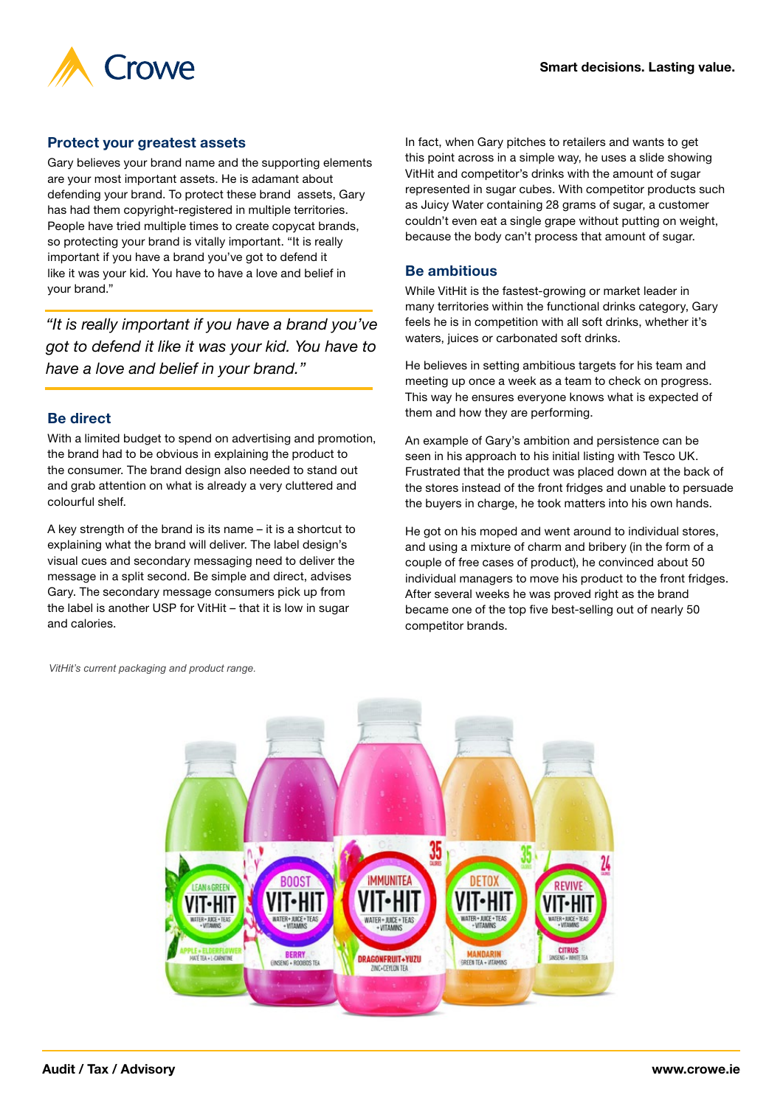

#### Protect your greatest assets

Gary believes your brand name and the supporting elements are your most important assets. He is adamant about defending your brand. To protect these brand assets, Gary has had them copyright-registered in multiple territories. People have tried multiple times to create copycat brands, so protecting your brand is vitally important. "It is really important if you have a brand you've got to defend it like it was your kid. You have to have a love and belief in your brand."

*"It is really important if you have a brand you've got to defend it like it was your kid. You have to have a love and belief in your brand."*

#### Be direct

With a limited budget to spend on advertising and promotion, the brand had to be obvious in explaining the product to the consumer. The brand design also needed to stand out and grab attention on what is already a very cluttered and colourful shelf.

A key strength of the brand is its name – it is a shortcut to explaining what the brand will deliver. The label design's visual cues and secondary messaging need to deliver the message in a split second. Be simple and direct, advises Gary. The secondary message consumers pick up from the label is another USP for VitHit – that it is low in sugar and calories.

In fact, when Gary pitches to retailers and wants to get this point across in a simple way, he uses a slide showing VitHit and competitor's drinks with the amount of sugar represented in sugar cubes. With competitor products such as Juicy Water containing 28 grams of sugar, a customer couldn't even eat a single grape without putting on weight, because the body can't process that amount of sugar.

#### Be ambitious

While VitHit is the fastest-growing or market leader in many territories within the functional drinks category, Gary feels he is in competition with all soft drinks, whether it's waters, juices or carbonated soft drinks.

He believes in setting ambitious targets for his team and meeting up once a week as a team to check on progress. This way he ensures everyone knows what is expected of them and how they are performing.

An example of Gary's ambition and persistence can be seen in his approach to his initial listing with Tesco UK. Frustrated that the product was placed down at the back of the stores instead of the front fridges and unable to persuade the buyers in charge, he took matters into his own hands.

He got on his moped and went around to individual stores, and using a mixture of charm and bribery (in the form of a couple of free cases of product), he convinced about 50 individual managers to move his product to the front fridges. After several weeks he was proved right as the brand became one of the top five best-selling out of nearly 50 competitor brands.

*VitHit's current packaging and product range.*